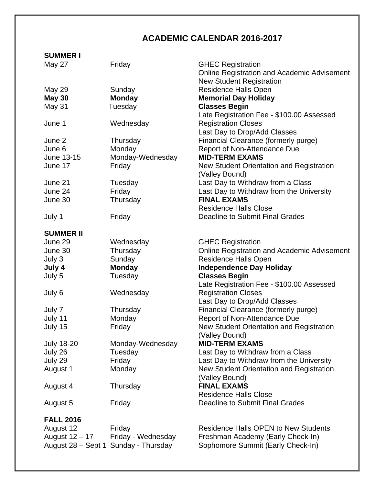## **ACADEMIC CALENDAR 2016-2017**

## **SUMMER I**

| May 27             | Friday             | <b>GHEC Registration</b><br><b>Online Registration and Academic Advisement</b> |
|--------------------|--------------------|--------------------------------------------------------------------------------|
|                    |                    | <b>New Student Registration</b>                                                |
| May 29             | Sunday             | <b>Residence Halls Open</b>                                                    |
| <b>May 30</b>      | <b>Monday</b>      | <b>Memorial Day Holiday</b>                                                    |
| May 31             | Tuesday            | <b>Classes Begin</b>                                                           |
| June 1             |                    | Late Registration Fee - \$100.00 Assessed                                      |
|                    | Wednesday          | <b>Registration Closes</b><br>Last Day to Drop/Add Classes                     |
| June 2             | Thursday           |                                                                                |
| June 6             | Monday             | Financial Clearance (formerly purge)<br>Report of Non-Attendance Due           |
| June 13-15         | Monday-Wednesday   | <b>MID-TERM EXAMS</b>                                                          |
| June 17            | Friday             | New Student Orientation and Registration                                       |
|                    |                    | (Valley Bound)                                                                 |
| June 21            | Tuesday            | Last Day to Withdraw from a Class                                              |
| June 24            | Friday             | Last Day to Withdraw from the University                                       |
| June 30            | Thursday           | <b>FINAL EXAMS</b>                                                             |
|                    |                    | <b>Residence Halls Close</b>                                                   |
| July 1             | Friday             | Deadline to Submit Final Grades                                                |
| <b>SUMMER II</b>   |                    |                                                                                |
| June 29            | Wednesday          | <b>GHEC Registration</b>                                                       |
| June 30            | Thursday           | <b>Online Registration and Academic Advisement</b>                             |
| July 3             | Sunday             | <b>Residence Halls Open</b>                                                    |
| July 4             | <b>Monday</b>      | <b>Independence Day Holiday</b>                                                |
| July 5             | Tuesday            | <b>Classes Begin</b>                                                           |
|                    |                    | Late Registration Fee - \$100.00 Assessed                                      |
| July 6             | Wednesday          | <b>Registration Closes</b>                                                     |
|                    |                    | Last Day to Drop/Add Classes                                                   |
| July 7             | Thursday           | Financial Clearance (formerly purge)                                           |
| July 11            | Monday             | Report of Non-Attendance Due                                                   |
| July 15            | Friday             | New Student Orientation and Registration                                       |
|                    |                    | (Valley Bound)                                                                 |
| <b>July 18-20</b>  | Monday-Wednesday   | <b>MID-TERM EXAMS</b>                                                          |
| July 26            | Tuesday            | Last Day to Withdraw from a Class                                              |
| July 29            | Friday             | Last Day to Withdraw from the University                                       |
| August 1           | Monday             | New Student Orientation and Registration                                       |
|                    |                    | (Valley Bound)                                                                 |
| August 4           | Thursday           | <b>FINAL EXAMS</b>                                                             |
|                    |                    | <b>Residence Halls Close</b>                                                   |
| August 5           | Friday             | Deadline to Submit Final Grades                                                |
| <b>FALL 2016</b>   |                    |                                                                                |
| August 12          | Friday             | <b>Residence Halls OPEN to New Students</b>                                    |
| August 12 - 17     | Friday - Wednesday | Freshman Academy (Early Check-In)                                              |
| August 28 - Sept 1 | Sunday - Thursday  | Sophomore Summit (Early Check-In)                                              |
|                    |                    |                                                                                |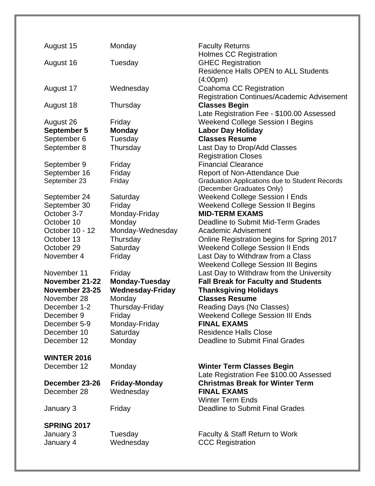| August 15          | Monday                  | <b>Faculty Returns</b><br><b>Holmes CC Registration</b>                            |
|--------------------|-------------------------|------------------------------------------------------------------------------------|
| August 16          | Tuesday                 | <b>GHEC Registration</b><br><b>Residence Halls OPEN to ALL Students</b>            |
| August 17          | Wednesday               | (4:00pm)<br>Coahoma CC Registration<br>Registration Continues/Academic Advisement  |
| August 18          | Thursday                | <b>Classes Begin</b><br>Late Registration Fee - \$100.00 Assessed                  |
| August 26          | Friday                  | <b>Weekend College Session I Begins</b>                                            |
| September 5        | <b>Monday</b>           | <b>Labor Day Holiday</b>                                                           |
| September 6        | Tuesday                 | <b>Classes Resume</b>                                                              |
| September 8        | Thursday                | Last Day to Drop/Add Classes                                                       |
|                    |                         | <b>Registration Closes</b>                                                         |
| September 9        | Friday                  | <b>Financial Clearance</b>                                                         |
| September 16       | Friday                  | Report of Non-Attendance Due                                                       |
| September 23       | Friday                  | <b>Graduation Applications due to Student Records</b><br>(December Graduates Only) |
| September 24       | Saturday                | <b>Weekend College Session I Ends</b>                                              |
| September 30       | Friday                  | <b>Weekend College Session II Begins</b>                                           |
| October 3-7        | Monday-Friday           | <b>MID-TERM EXAMS</b>                                                              |
| October 10         | Monday                  | Deadline to Submit Mid-Term Grades                                                 |
| October 10 - 12    | Monday-Wednesday        | <b>Academic Advisement</b>                                                         |
| October 13         | Thursday                | Online Registration begins for Spring 2017                                         |
| October 29         | Saturday                | <b>Weekend College Session II Ends</b>                                             |
| November 4         | Friday                  | Last Day to Withdraw from a Class                                                  |
|                    |                         | <b>Weekend College Session III Begins</b>                                          |
| November 11        | Friday                  | Last Day to Withdraw from the University                                           |
| November 21-22     | <b>Monday-Tuesday</b>   | <b>Fall Break for Faculty and Students</b>                                         |
| November 23-25     | <b>Wednesday-Friday</b> | <b>Thanksgiving Holidays</b>                                                       |
| November 28        | Monday                  | <b>Classes Resume</b>                                                              |
| December 1-2       | Thursday-Friday         | Reading Days (No Classes)                                                          |
| December 9         | Friday                  | <b>Weekend College Session III Ends</b>                                            |
| December 5-9       | Monday-Friday           | <b>FINAL EXAMS</b>                                                                 |
| December 10        | Saturday                | <b>Residence Halls Close</b>                                                       |
| December 12        | Monday                  | <b>Deadline to Submit Final Grades</b>                                             |
| <b>WINTER 2016</b> |                         |                                                                                    |
| December 12        | Monday                  | <b>Winter Term Classes Begin</b>                                                   |
|                    |                         | Late Registration Fee \$100.00 Assessed                                            |
| December 23-26     | <b>Friday-Monday</b>    | <b>Christmas Break for Winter Term</b>                                             |
| December 28        | Wednesday               | <b>FINAL EXAMS</b>                                                                 |
| January 3          | Friday                  | <b>Winter Term Ends</b><br>Deadline to Submit Final Grades                         |
| <b>SPRING 2017</b> |                         |                                                                                    |
|                    |                         |                                                                                    |
| January 3          | Tuesday                 | <b>Faculty &amp; Staff Return to Work</b>                                          |
| January 4          | Wednesday               | <b>CCC Registration</b>                                                            |